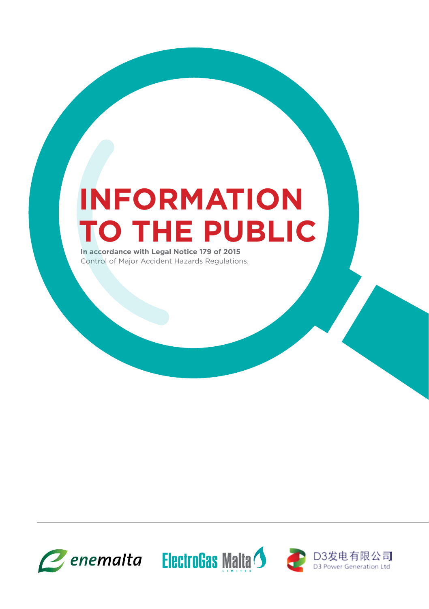# **INFORMATION TO THE PUBLIC**

**In accordance with Legal Notice 179 of 2015** Control of Major Accident Hazards Regulations.





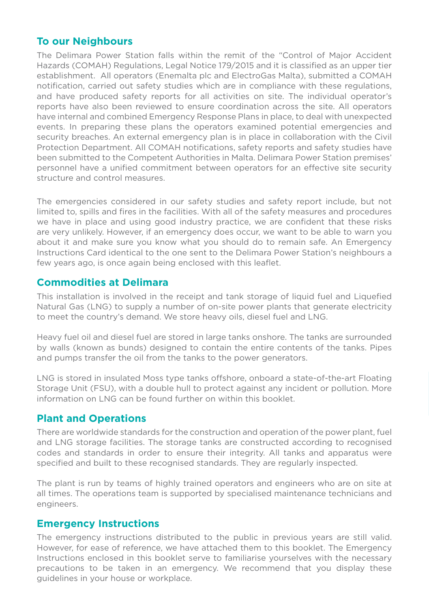#### **To our Neighbours**

The Delimara Power Station falls within the remit of the "Control of Major Accident Hazards (COMAH) Regulations, Legal Notice 179/2015 and it is classified as an upper tier establishment. All operators (Enemalta plc and ElectroGas Malta), submitted a COMAH notification, carried out safety studies which are in compliance with these regulations, and have produced safety reports for all activities on site. The individual operator's reports have also been reviewed to ensure coordination across the site. All operators have internal and combined Emergency Response Plans in place, to deal with unexpected events. In preparing these plans the operators examined potential emergencies and security breaches. An external emergency plan is in place in collaboration with the Civil Protection Department. All COMAH notifications, safety reports and safety studies have been submitted to the Competent Authorities in Malta. Delimara Power Station premises' personnel have a unified commitment between operators for an effective site security structure and control measures.

The emergencies considered in our safety studies and safety report include, but not limited to, spills and fires in the facilities. With all of the safety measures and procedures we have in place and using good industry practice, we are confident that these risks are very unlikely. However, if an emergency does occur, we want to be able to warn you about it and make sure you know what you should do to remain safe. An Emergency Instructions Card identical to the one sent to the Delimara Power Station's neighbours a few years ago, is once again being enclosed with this leaflet.

#### **Commodities at Delimara**

This installation is involved in the receipt and tank storage of liquid fuel and Liquefied Natural Gas (LNG) to supply a number of on-site power plants that generate electricity to meet the country's demand. We store heavy oils, diesel fuel and LNG.

Heavy fuel oil and diesel fuel are stored in large tanks onshore. The tanks are surrounded by walls (known as bunds) designed to contain the entire contents of the tanks. Pipes and pumps transfer the oil from the tanks to the power generators.

LNG is stored in insulated Moss type tanks offshore, onboard a state-of-the-art FL Storage Unit (FSU), with a double hull to protect against any inc information on LNG can be found further on within

#### **Plant and Operations**

There are worldwide standards for the construction and operation and operation of the power plant, fuel and LNG storage facilities. The storage tanks are constructed according to recognised canks and apparatus were ev are requiarly inspected.

> The plant operators and engineers who are on site at apported by specialised maintenance technicians and

#### **Extructions**

**The emany instructions distributed to the public in previous years are still valid.**  $\frac{1}{2}$  Ver, for ease of reference, we have attached them to this booklet. The Emergency Instructions enclosed in this booklet serve to familiarise yourselves with the necessary precautions to be taken in an emergency. We recommend that you display these guidelines in your house or workplace.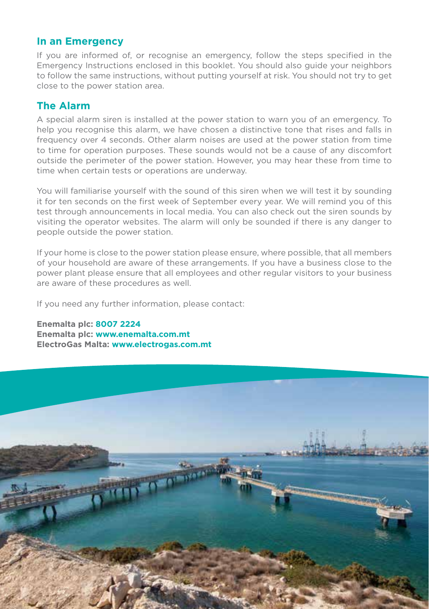#### **In an Emergency**

If you are informed of, or recognise an emergency, follow the steps specified in the Emergency Instructions enclosed in this booklet. You should also guide your neighbors to follow the same instructions, without putting yourself at risk. You should not try to get close to the power station area.

#### **The Alarm**

A special alarm siren is installed at the power station to warn you of an emergency. To help you recognise this alarm, we have chosen a distinctive tone that rises and falls in frequency over 4 seconds. Other alarm noises are used at the power station from time to time for operation purposes. These sounds would not be a cause of any discomfort outside the perimeter of the power station. However, you may hear these from time to time when certain tests or operations are underway.

You will familiarise yourself with the sound of this siren when we will test it by sounding it for ten seconds on the first week of September every year. We will remind you of this test through announcements in local media. You can also check out the siren sounds by visiting the operator websites. The alarm will only be sounded if there is any danger to people outside the power station.

If your home is close to the power station please ensure, where possible, that all members of your household are aware of these arrangements. If you have a business close to the power plant please ensure that all employees and other regular visitors to your business are aware of these procedures as well.

If you need any further information, please contact:

**Enemalta plc: 8007 2224 Enemalta plc: www.enemalta.com.mt ElectroGas Malta: www.electrogas.com.mt**

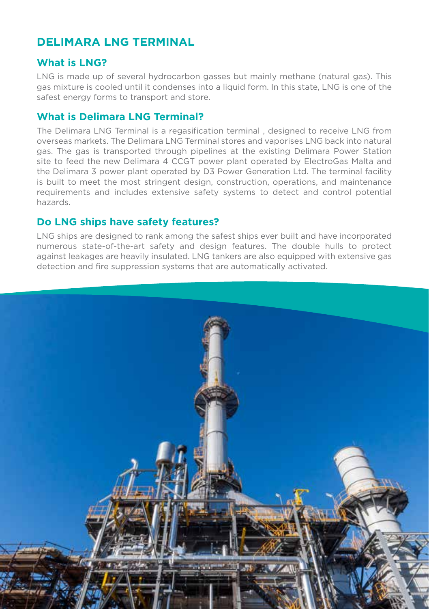# **DELIMARA LNG TERMINAL**

#### **What is LNG?**

LNG is made up of several hydrocarbon gasses but mainly methane (natural gas). This gas mixture is cooled until it condenses into a liquid form. In this state, LNG is one of the safest energy forms to transport and store.

# **What is Delimara LNG Terminal?**

The Delimara LNG Terminal is a regasification terminal , designed to receive LNG from overseas markets. The Delimara LNG Terminal stores and vaporises LNG back into natural gas. The gas is transported through pipelines at the existing Delimara Power Station site to feed the new Delimara 4 CCGT power plant operated by ElectroGas Malta and the Delimara 3 power plant operated by D3 Power Generation Ltd. The terminal facility is built to meet the most stringent design, construction, operations, and maintenance requirements and includes extensive safety systems to detect and control potential hazards.

# **Do LNG ships have safety features?**

LNG ships are designed to rank among the safest ships ever built and have incorporated numerous state-of-the-art safety and design features. The double hulls to protect against leakages are heavily insulated. LNG tankers are also equipped with extensive gas detection and fire suppression systems that are automatically activated.

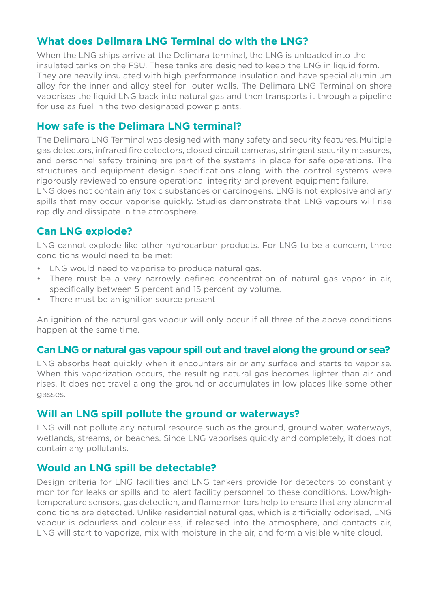# **What does Delimara LNG Terminal do with the LNG?**

When the LNG ships arrive at the Delimara terminal, the LNG is unloaded into the insulated tanks on the FSU. These tanks are designed to keep the LNG in liquid form. They are heavily insulated with high-performance insulation and have special aluminium alloy for the inner and alloy steel for outer walls. The Delimara LNG Terminal on shore vaporises the liquid LNG back into natural gas and then transports it through a pipeline for use as fuel in the two designated power plants.

# **How safe is the Delimara LNG terminal?**

The Delimara LNG Terminal was designed with many safety and security features. Multiple gas detectors, infrared fire detectors, closed circuit cameras, stringent security measures, and personnel safety training are part of the systems in place for safe operations. The structures and equipment design specifications along with the control systems were rigorously reviewed to ensure operational integrity and prevent equipment failure. LNG does not contain any toxic substances or carcinogens. LNG is not explosive and any spills that may occur vaporise quickly. Studies demonstrate that LNG vapours will rise rapidly and dissipate in the atmosphere.

# **Can LNG explode?**

LNG cannot explode like other hydrocarbon products. For LNG to be a concern, three conditions would need to be met:

- LNG would need to vaporise to produce natural gas.
- There must be a very narrowly defined concentration of natural gas vapor in air, specifically between 5 percent and 15 percent by volume.
- There must be an ignition source present

An ignition of the natural gas vapour will only occur if all three of the above conditions happen at the same time.

# **Can LNG or natural gas vapour spill out and travel along the ground or sea?**

LNG absorbs heat quickly when it encounters air or any surface and starts to vaporise. When this vaporization occurs, the resulting natural gas becomes lighter than air and rises. It does not travel along the ground or accumulates in low places like some other gasses.

#### **Will an LNG spill pollute the ground or waterways?**

LNG will not pollute any natural resource such as the ground, ground water, waterways, wetlands, streams, or beaches. Since LNG vaporises quickly and completely, it does not contain any pollutants.

# **Would an LNG spill be detectable?**

Design criteria for LNG facilities and LNG tankers provide for detectors to constantly monitor for leaks or spills and to alert facility personnel to these conditions. Low/hightemperature sensors, gas detection, and flame monitors help to ensure that any abnormal conditions are detected. Unlike residential natural gas, which is artificially odorised, LNG vapour is odourless and colourless, if released into the atmosphere, and contacts air, LNG will start to vaporize, mix with moisture in the air, and form a visible white cloud.